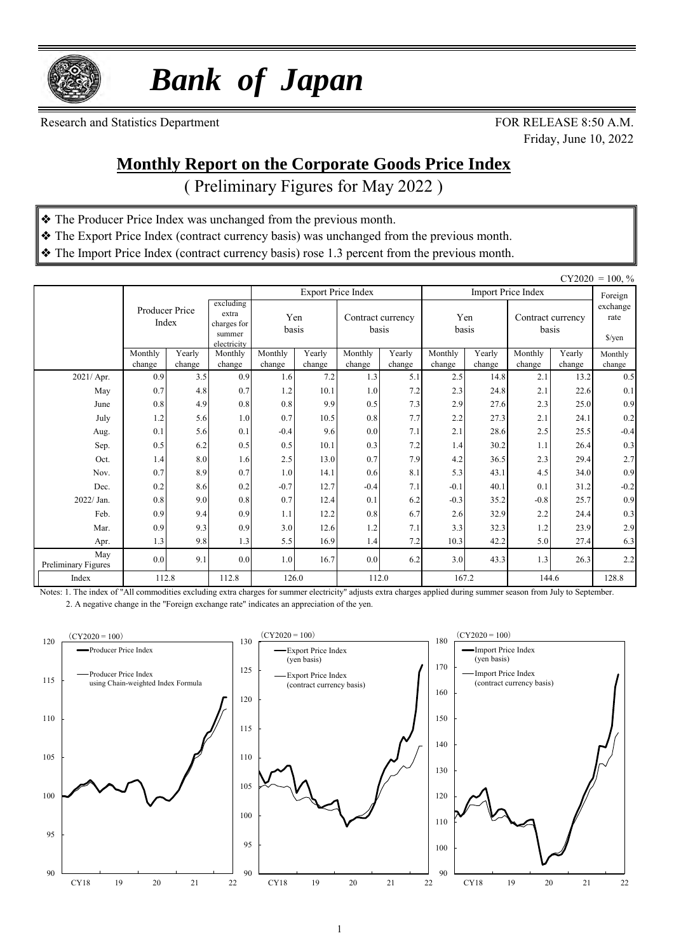

 *Bank of Japan*

Research and Statistics Department FOR RELEASE 8:50 A.M.

Friday, June 10, 2022

#### **Monthly Report on the Corporate Goods Price Index**

( Preliminary Figures for May 2022 )

- ❖ The Producer Price Index was unchanged from the previous month.
- ❖ The Export Price Index (contract currency basis) was unchanged from the previous month.
- ❖ The Import Price Index (contract currency basis) rose 1.3 percent from the previous month.

|                            |                         |                  |                                                            |                   |                  |                           |                            |                   |                  |                            |                  | $CY2020 = 100, \%$         |
|----------------------------|-------------------------|------------------|------------------------------------------------------------|-------------------|------------------|---------------------------|----------------------------|-------------------|------------------|----------------------------|------------------|----------------------------|
|                            |                         |                  |                                                            |                   |                  | <b>Export Price Index</b> |                            |                   |                  | <b>Import Price Index</b>  |                  | Foreign                    |
|                            | Producer Price<br>Index |                  | excluding<br>extra<br>charges for<br>summer<br>electricity |                   | Yen<br>basis     |                           | Contract currency<br>basis | Yen<br>basis      |                  | Contract currency<br>basis |                  | exchange<br>rate<br>\$/yen |
|                            | Monthly<br>change       | Yearly<br>change | Monthly<br>change                                          | Monthly<br>change | Yearly<br>change | Monthly<br>change         | Yearly<br>change           | Monthly<br>change | Yearly<br>change | Monthly                    | Yearly<br>change | Monthly                    |
| 2021/ Apr.                 | 0.9                     | 3.5              | 0.9                                                        | 1.6               | 7.2              | 1.3                       | 5.1                        | 2.5               | 14.8             | change<br>2.1              | 13.2             | change<br>0.5              |
| May                        | 0.7                     | 4.8              | 0.7                                                        | 1.2               | 10.1             | 1.0                       | 7.2                        | 2.3               | 24.8             | 2.1                        | 22.6             | 0.1                        |
| June                       | 0.8                     | 4.9              | 0.8                                                        | 0.8               | 9.9              | 0.5                       | 7.3                        | 2.9               | 27.6             | 2.3                        | 25.0             | 0.9                        |
| July                       | 1.2                     | 5.6              | 1.0                                                        | 0.7               | 10.5             | 0.8                       | 7.7                        | 2.2               | 27.3             | 2.1                        | 24.1             | 0.2                        |
| Aug.                       | 0.1                     | 5.6              | 0.1                                                        | $-0.4$            | 9.6              | 0.0                       | 7.1                        | 2.1               | 28.6             | 2.5                        | 25.5             | $-0.4$                     |
| Sep.                       | 0.5                     | 6.2              | 0.5                                                        | 0.5               | 10.1             | 0.3                       | 7.2                        | 1.4               | 30.2             | 1.1                        | 26.4             | 0.3                        |
| Oct.                       | 1.4                     | 8.0              | 1.6                                                        | 2.5               | 13.0             | 0.7                       | 7.9                        | 4.2               | 36.5             | 2.3                        | 29.4             | 2.7                        |
| Nov.                       | 0.7                     | 8.9              | 0.7                                                        | 1.0               | 14.1             | 0.6                       | 8.1                        | 5.3               | 43.1             | 4.5                        | 34.0             | 0.9                        |
| Dec.                       | 0.2                     | 8.6              | 0.2                                                        | $-0.7$            | 12.7             | $-0.4$                    | 7.1                        | $-0.1$            | 40.1             | 0.1                        | 31.2             | $-0.2$                     |
| $2022/$ Jan.               | 0.8                     | 9.0              | 0.8                                                        | 0.7               | 12.4             | 0.1                       | 6.2                        | $-0.3$            | 35.2             | $-0.8$                     | 25.7             | 0.9                        |
| Feb.                       | 0.9                     | 9.4              | 0.9                                                        | 1.1               | 12.2             | 0.8                       | 6.7                        | 2.6               | 32.9             | 2.2                        | 24.4             | 0.3                        |
| Mar.                       | 0.9                     | 9.3              | 0.9                                                        | 3.0               | 12.6             | 1.2                       | 7.1                        | 3.3               | 32.3             | 1.2                        | 23.9             | 2.9                        |
| Apr.                       | 1.3                     | 9.8              | 1.3                                                        | 5.5               | 16.9             | 1.4                       | 7.2                        | 10.3              | 42.2             | 5.0                        | 27.4             | 6.3                        |
| May<br>Preliminary Figures | 0.0                     | 9.1              | 0.0                                                        | 1.0               | 16.7             | 0.0                       | 6.2                        | 3.0               | 43.3             | 1.3                        | 26.3             | 2.2                        |
| Index                      | 112.8                   |                  | 112.8                                                      | 126.0             |                  |                           | 112.0                      | 167.2             |                  | 144.6                      |                  | 128.8                      |

Notes: 1. The index of "All commodities excluding extra charges for summer electricity" adjusts extra charges applied during summer season from July to September. 2. A negative change in the "Foreign exchange rate" indicates an appreciation of the yen.

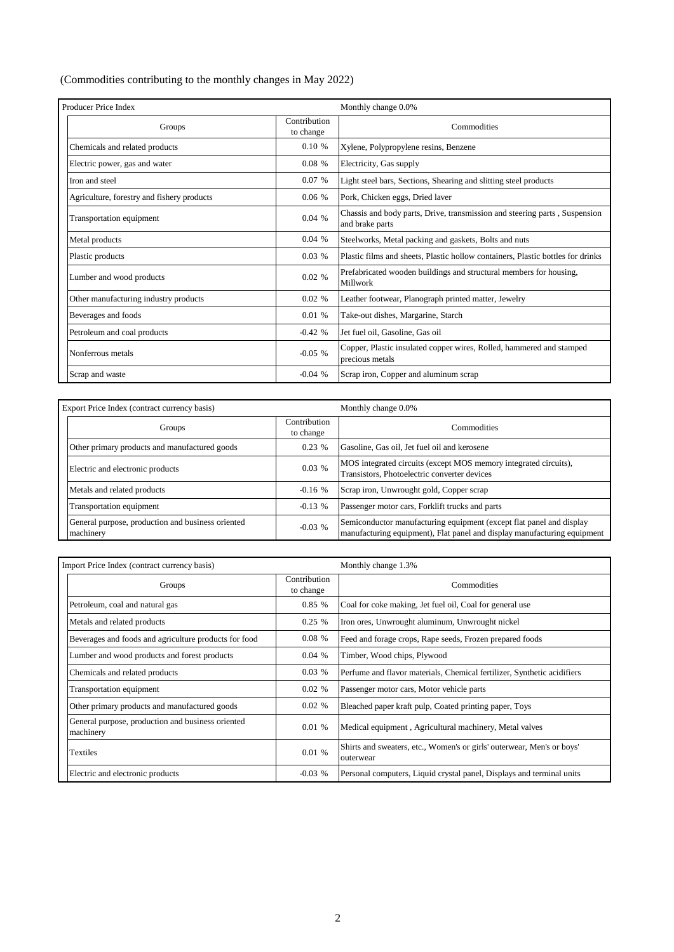#### (Commodities contributing to the monthly changes in May 2022)

| Producer Price Index                       |                           | Monthly change 0.0%                                                                           |  |  |  |
|--------------------------------------------|---------------------------|-----------------------------------------------------------------------------------------------|--|--|--|
| Groups                                     | Contribution<br>to change | Commodities                                                                                   |  |  |  |
| Chemicals and related products             | $0.10 \%$                 | Xylene, Polypropylene resins, Benzene                                                         |  |  |  |
| Electric power, gas and water              | 0.08%                     | Electricity, Gas supply                                                                       |  |  |  |
| Iron and steel                             | 0.07%                     | Light steel bars, Sections, Shearing and slitting steel products                              |  |  |  |
| Agriculture, forestry and fishery products | 0.06%                     | Pork, Chicken eggs, Dried laver                                                               |  |  |  |
| Transportation equipment                   | 0.04%                     | Chassis and body parts, Drive, transmission and steering parts, Suspension<br>and brake parts |  |  |  |
| Metal products                             | 0.04%                     | Steelworks, Metal packing and gaskets, Bolts and nuts                                         |  |  |  |
| Plastic products                           | 0.03%                     | Plastic films and sheets, Plastic hollow containers, Plastic bottles for drinks               |  |  |  |
| Lumber and wood products                   | 0.02%                     | Prefabricated wooden buildings and structural members for housing,<br>Millwork                |  |  |  |
| Other manufacturing industry products      | 0.02%                     | Leather footwear, Planograph printed matter, Jewelry                                          |  |  |  |
| Beverages and foods                        | 0.01%                     | Take-out dishes, Margarine, Starch                                                            |  |  |  |
| Petroleum and coal products                | $-0.42%$                  | Jet fuel oil, Gasoline, Gas oil                                                               |  |  |  |
| Nonferrous metals                          | $-0.05$ %                 | Copper, Plastic insulated copper wires, Rolled, hammered and stamped<br>precious metals       |  |  |  |
| Scrap and waste                            | $-0.04%$                  | Scrap iron, Copper and aluminum scrap                                                         |  |  |  |

| Export Price Index (contract currency basis)                   |                           | Monthly change 0.0%                                                                                                                              |  |  |  |
|----------------------------------------------------------------|---------------------------|--------------------------------------------------------------------------------------------------------------------------------------------------|--|--|--|
| Groups                                                         | Contribution<br>to change | Commodities                                                                                                                                      |  |  |  |
| Other primary products and manufactured goods                  | 0.23%                     | Gasoline, Gas oil, Jet fuel oil and kerosene                                                                                                     |  |  |  |
| Electric and electronic products                               | 0.03%                     | MOS integrated circuits (except MOS memory integrated circuits),<br>Transistors, Photoelectric converter devices                                 |  |  |  |
| Metals and related products                                    | $-0.16%$                  | Scrap iron, Unwrought gold, Copper scrap                                                                                                         |  |  |  |
| Transportation equipment                                       | $-0.13%$                  | Passenger motor cars, Forklift trucks and parts                                                                                                  |  |  |  |
| General purpose, production and business oriented<br>machinery | $-0.03$ %                 | Semiconductor manufacturing equipment (except flat panel and display<br>manufacturing equipment). Flat panel and display manufacturing equipment |  |  |  |

| Import Price Index (contract currency basis)                   |                           | Monthly change 1.3%                                                                 |  |  |  |  |
|----------------------------------------------------------------|---------------------------|-------------------------------------------------------------------------------------|--|--|--|--|
| Groups                                                         | Contribution<br>to change | Commodities                                                                         |  |  |  |  |
| Petroleum, coal and natural gas                                | $0.85\%$                  | Coal for coke making, Jet fuel oil, Coal for general use                            |  |  |  |  |
| Metals and related products                                    | 0.25%                     | Iron ores, Unwrought aluminum, Unwrought nickel                                     |  |  |  |  |
| Beverages and foods and agriculture products for food          | 0.08%                     | Feed and forage crops, Rape seeds, Frozen prepared foods                            |  |  |  |  |
| Lumber and wood products and forest products                   | 0.04%                     | Timber, Wood chips, Plywood                                                         |  |  |  |  |
| Chemicals and related products                                 | 0.03%                     | Perfume and flavor materials, Chemical fertilizer, Synthetic acidifiers             |  |  |  |  |
| Transportation equipment                                       | 0.02 %                    | Passenger motor cars, Motor vehicle parts                                           |  |  |  |  |
| Other primary products and manufactured goods                  | $0.02\%$                  | Bleached paper kraft pulp, Coated printing paper, Toys                              |  |  |  |  |
| General purpose, production and business oriented<br>machinery | 0.01%                     | Medical equipment, Agricultural machinery, Metal valves                             |  |  |  |  |
| <b>Textiles</b>                                                | 0.01%                     | Shirts and sweaters, etc., Women's or girls' outerwear, Men's or boys'<br>outerwear |  |  |  |  |
| Electric and electronic products                               | $-0.03$ %                 | Personal computers, Liquid crystal panel, Displays and terminal units               |  |  |  |  |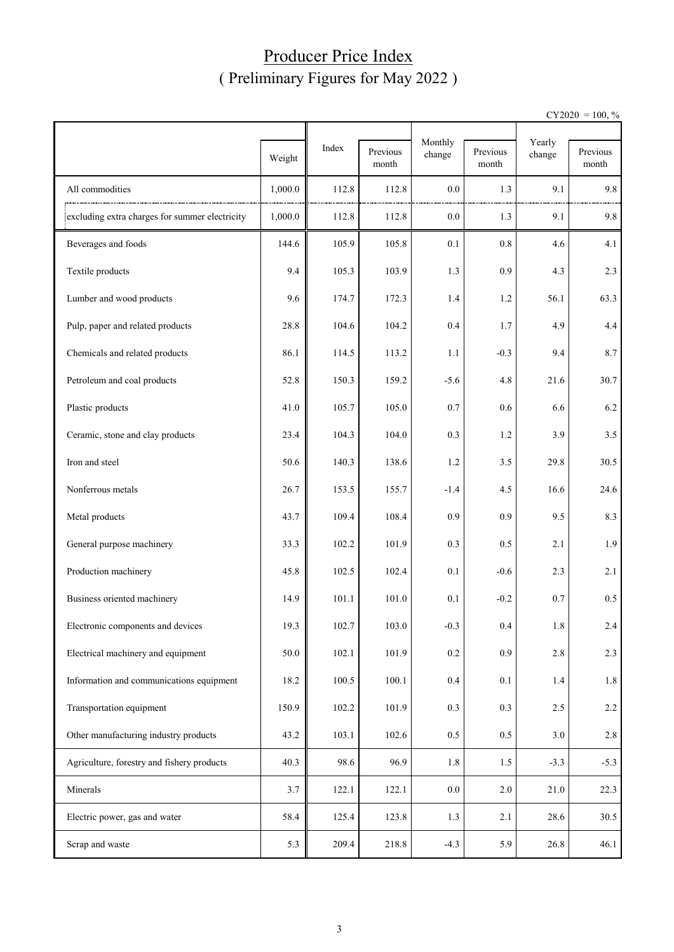## Producer Price Index ( Preliminary Figures for May 2022 )

 $CY2020 = 100, \%$ 

|                                                |         |       |                   | Monthly |                   |                  |                   |
|------------------------------------------------|---------|-------|-------------------|---------|-------------------|------------------|-------------------|
|                                                | Weight  | Index | Previous<br>month | change  | Previous<br>month | Yearly<br>change | Previous<br>month |
| All commodities                                | 1,000.0 | 112.8 | 112.8             | 0.0     | 1.3               | 9.1              | 9.8               |
| excluding extra charges for summer electricity | 1,000.0 | 112.8 | 112.8             | 0.0     | 1.3               | 9.1              | 9.8               |
| Beverages and foods                            | 144.6   | 105.9 | 105.8             | 0.1     | 0.8               | 4.6              | 4.1               |
| Textile products                               | 9.4     | 105.3 | 103.9             | 1.3     | 0.9               | 4.3              | 2.3               |
| Lumber and wood products                       | 9.6     | 174.7 | 172.3             | 1.4     | 1.2               | 56.1             | 63.3              |
| Pulp, paper and related products               | 28.8    | 104.6 | 104.2             | 0.4     | 1.7               | 4.9              | 4.4               |
| Chemicals and related products                 | 86.1    | 114.5 | 113.2             | 1.1     | $-0.3$            | 9.4              | 8.7               |
| Petroleum and coal products                    | 52.8    | 150.3 | 159.2             | $-5.6$  | 4.8               | 21.6             | 30.7              |
| Plastic products                               | 41.0    | 105.7 | 105.0             | 0.7     | 0.6               | 6.6              | 6.2               |
| Ceramic, stone and clay products               | 23.4    | 104.3 | 104.0             | 0.3     | 1.2               | 3.9              | 3.5               |
| Iron and steel                                 | 50.6    | 140.3 | 138.6             | 1.2     | 3.5               | 29.8             | 30.5              |
| Nonferrous metals                              | 26.7    | 153.5 | 155.7             | -1.4    | 4.5               | 16.6             | 24.6              |
| Metal products                                 | 43.7    | 109.4 | 108.4             | 0.9     | 0.9               | 9.5              | 8.3               |
| General purpose machinery                      | 33.3    | 102.2 | 101.9             | 0.3     | 0.5               | 2.1              | 1.9               |
| Production machinery                           | 45.8    | 102.5 | 102.4             | 0.1     | $-0.6$            | 2.3              | 2.1               |
| Business oriented machinery                    | 14.9    | 101.1 | 101.0             | 0.1     | $-0.2$            | 0.7              | $0.5\,$           |
| Electronic components and devices              | 19.3    | 102.7 | 103.0             | $-0.3$  | 0.4               | 1.8              | 2.4               |
| Electrical machinery and equipment             | 50.0    | 102.1 | 101.9             | 0.2     | 0.9               | 2.8              | 2.3               |
| Information and communications equipment       | 18.2    | 100.5 | 100.1             | 0.4     | 0.1               | 1.4              | $1.8\,$           |
| Transportation equipment                       | 150.9   | 102.2 | 101.9             | 0.3     | 0.3               | 2.5              | $2.2\,$           |
| Other manufacturing industry products          | 43.2    | 103.1 | 102.6             | 0.5     | 0.5               | 3.0              | $2.8\,$           |
| Agriculture, forestry and fishery products     | 40.3    | 98.6  | 96.9              | 1.8     | 1.5               | $-3.3$           | $-5.3$            |
| Minerals                                       | 3.7     | 122.1 | 122.1             | 0.0     | $2.0\,$           | 21.0             | 22.3              |
| Electric power, gas and water                  | 58.4    | 125.4 | 123.8             | 1.3     | 2.1               | 28.6             | 30.5              |
| Scrap and waste                                | 5.3     | 209.4 | 218.8             | $-4.3$  | 5.9               | 26.8             | 46.1              |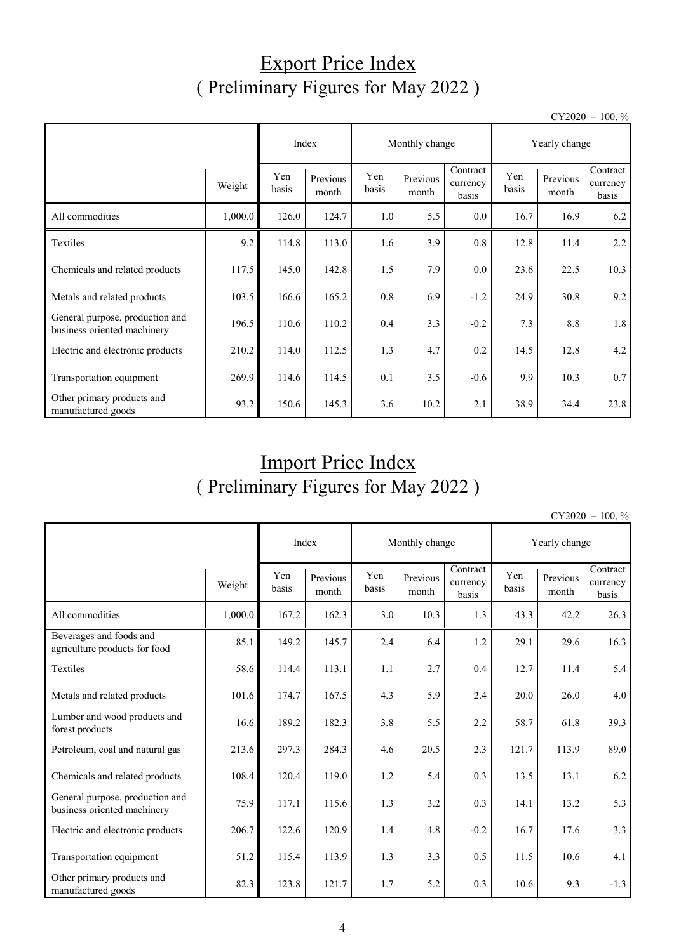# Export Price Index ( Preliminary Figures for May 2022 )

 $CY2020 = 100, \%$ 

|                                                                |         |              | Index             |              | Monthly change    |                               | Yearly change |                   |                               |  |
|----------------------------------------------------------------|---------|--------------|-------------------|--------------|-------------------|-------------------------------|---------------|-------------------|-------------------------------|--|
|                                                                | Weight  | Yen<br>basis | Previous<br>month | Yen<br>basis | Previous<br>month | Contract<br>currency<br>basis | Yen<br>basis  | Previous<br>month | Contract<br>currency<br>basis |  |
| All commodities                                                | 1,000.0 | 126.0        | 124.7             | 1.0          | 5.5               | $0.0\,$                       | 16.7          | 16.9              | 6.2                           |  |
| Textiles                                                       | 9.2     | 114.8        | 113.0             | 1.6          | 3.9               | 0.8                           | 12.8          | 11.4              | 2.2                           |  |
| Chemicals and related products                                 | 117.5   | 145.0        | 142.8             | 1.5          | 7.9               | $0.0\,$                       | 23.6          | 22.5              | 10.3                          |  |
| Metals and related products                                    | 103.5   | 166.6        | 165.2             | 0.8          | 6.9               | $-1.2$                        | 24.9          | 30.8              | 9.2                           |  |
| General purpose, production and<br>business oriented machinery | 196.5   | 110.6        | 110.2             | 0.4          | 3.3               | $-0.2$                        | 7.3           | 8.8               | 1.8                           |  |
| Electric and electronic products                               | 210.2   | 114.0        | 112.5             | 1.3          | 4.7               | 0.2                           | 14.5          | 12.8              | 4.2                           |  |
| Transportation equipment                                       | 269.9   | 114.6        | 114.5             | 0.1          | 3.5               | $-0.6$                        | 9.9           | 10.3              | 0.7                           |  |
| Other primary products and<br>manufactured goods               | 93.2    | 150.6        | 145.3             | 3.6          | 10.2              | 2.1                           | 38.9          | 34.4              | 23.8                          |  |

# Import Price Index ( Preliminary Figures for May 2022 )

 $CY2020 = 100, \%$ 

|                                                                |         |              | Index             | Monthly change<br>Yearly change |                   |                               |              |                   |                               |
|----------------------------------------------------------------|---------|--------------|-------------------|---------------------------------|-------------------|-------------------------------|--------------|-------------------|-------------------------------|
|                                                                | Weight  | Yen<br>basis | Previous<br>month | Yen<br>basis                    | Previous<br>month | Contract<br>currency<br>basis | Yen<br>basis | Previous<br>month | Contract<br>currency<br>basis |
| All commodities                                                | 1,000.0 | 167.2        | 162.3             | 3.0                             | 10.3              | 1.3                           | 43.3         | 42.2              | 26.3                          |
| Beverages and foods and<br>agriculture products for food       | 85.1    | 149.2        | 145.7             | 2.4                             | 6.4               | 1.2                           | 29.1         | 29.6              | 16.3                          |
| Textiles                                                       | 58.6    | 114.4        | 113.1             | 1.1                             | 2.7               | 0.4                           | 12.7         | 11.4              | 5.4                           |
| Metals and related products                                    | 101.6   | 174.7        | 167.5             | 4.3                             | 5.9               | 2.4                           | 20.0         | 26.0              | 4.0                           |
| Lumber and wood products and<br>forest products                | 16.6    | 189.2        | 182.3             | 3.8                             | 5.5               | 2.2                           | 58.7         | 61.8              | 39.3                          |
| Petroleum, coal and natural gas                                | 213.6   | 297.3        | 284.3             | 4.6                             | 20.5              | 2.3                           | 121.7        | 113.9             | 89.0                          |
| Chemicals and related products                                 | 108.4   | 120.4        | 119.0             | 1.2                             | 5.4               | 0.3                           | 13.5         | 13.1              | 6.2                           |
| General purpose, production and<br>business oriented machinery | 75.9    | 117.1        | 115.6             | 1.3                             | 3.2               | 0.3                           | 14.1         | 13.2              | 5.3                           |
| Electric and electronic products                               | 206.7   | 122.6        | 120.9             | 1.4                             | 4.8               | $-0.2$                        | 16.7         | 17.6              | 3.3                           |
| Transportation equipment                                       | 51.2    | 115.4        | 113.9             | 1.3                             | 3.3               | 0.5                           | 11.5         | 10.6              | 4.1                           |
| Other primary products and<br>manufactured goods               | 82.3    | 123.8        | 121.7             | 1.7                             | 5.2               | 0.3                           | 10.6         | 9.3               | $-1.3$                        |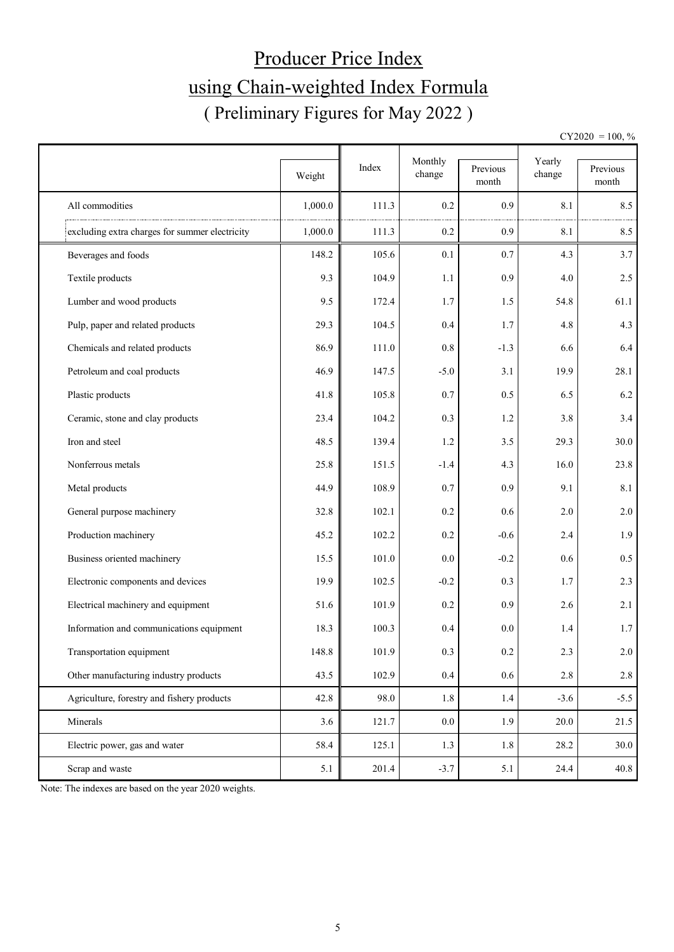# Producer Price Index using Chain-weighted Index Formula ( Preliminary Figures for May 2022 )

 $CY2020 = 100, \%$ 

|                                                | Weight  | Index | Monthly<br>change | Previous<br>month | Yearly<br>change | Previous<br>month |
|------------------------------------------------|---------|-------|-------------------|-------------------|------------------|-------------------|
| All commodities                                | 1,000.0 | 111.3 | 0.2               | 0.9               | 8.1              | 8.5               |
| excluding extra charges for summer electricity | 1,000.0 | 111.3 | 0.2               | 0.9               | $8.1\,$          | 8.5               |
| Beverages and foods                            | 148.2   | 105.6 | 0.1               | 0.7               | 4.3              | 3.7               |
| Textile products                               | 9.3     | 104.9 | 1.1               | 0.9               | 4.0              | 2.5               |
| Lumber and wood products                       | 9.5     | 172.4 | 1.7               | 1.5               | 54.8             | 61.1              |
| Pulp, paper and related products               | 29.3    | 104.5 | 0.4               | 1.7               | 4.8              | 4.3               |
| Chemicals and related products                 | 86.9    | 111.0 | 0.8               | $-1.3$            | 6.6              | 6.4               |
| Petroleum and coal products                    | 46.9    | 147.5 | $-5.0$            | 3.1               | 19.9             | 28.1              |
| Plastic products                               | 41.8    | 105.8 | 0.7               | 0.5               | 6.5              | 6.2               |
| Ceramic, stone and clay products               | 23.4    | 104.2 | 0.3               | 1.2               | 3.8              | 3.4               |
| Iron and steel                                 | 48.5    | 139.4 | 1.2               | 3.5               | 29.3             | 30.0              |
| Nonferrous metals                              | 25.8    | 151.5 | $-1.4$            | 4.3               | 16.0             | 23.8              |
| Metal products                                 | 44.9    | 108.9 | 0.7               | 0.9               | 9.1              | 8.1               |
| General purpose machinery                      | 32.8    | 102.1 | 0.2               | 0.6               | 2.0              | 2.0               |
| Production machinery                           | 45.2    | 102.2 | 0.2               | $-0.6$            | 2.4              | 1.9               |
| Business oriented machinery                    | 15.5    | 101.0 | 0.0               | $-0.2$            | 0.6              | $0.5\,$           |
| Electronic components and devices              | 19.9    | 102.5 | $-0.2$            | 0.3               | 1.7              | 2.3               |
| Electrical machinery and equipment             | 51.6    | 101.9 | 0.2               | 0.9               | 2.6              | 2.1               |
| Information and communications equipment       | 18.3    | 100.3 | 0.4               | 0.0               | 1.4              | 1.7               |
| Transportation equipment                       | 148.8   | 101.9 | $0.3\,$           | 0.2               | $2.3\,$          | 2.0               |
| Other manufacturing industry products          | 43.5    | 102.9 | $0.4\,$           | 0.6               | 2.8              | $2.8\,$           |
| Agriculture, forestry and fishery products     | 42.8    | 98.0  | 1.8               | 1.4               | $-3.6$           | $-5.5$            |
| Minerals                                       | 3.6     | 121.7 | $0.0\,$           | 1.9               | 20.0             | 21.5              |
| Electric power, gas and water                  | 58.4    | 125.1 | 1.3               | 1.8               | 28.2             | 30.0              |
| Scrap and waste                                | 5.1     | 201.4 | $-3.7$            | 5.1               | 24.4             | 40.8              |

Note: The indexes are based on the year 2020 weights.